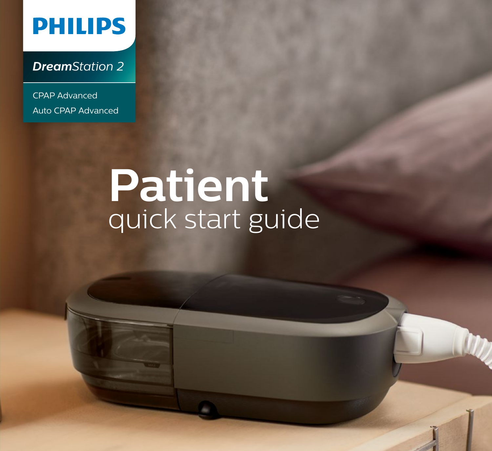## **PHILIPS**

## *DreamStation 2*

CPAP Advanced Auto CPAP Advanced

# **Patient** quick start guide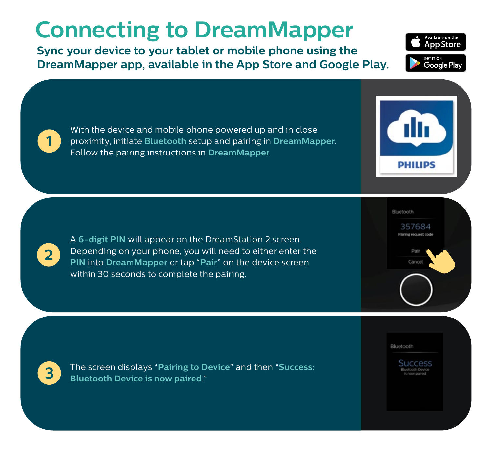## **Connecting to DreamMapper**

**Sync your device to your tablet or mobile phone using the DreamMapper app, available in the App Store and Google Play.**

With the device and mobile phone powered up and in close proximity, initiate **Bluetooth** setup and pairing in **DreamMapper**. Follow the pairing instructions in **DreamMapper**.

 $\vert$  1

 $\overline{2}$ 

 $\overline{3}$ 

A **6-digit PIN** will appear on the DreamStation 2 screen. Depending on your phone, you will need to either enter the **PIN** into **DreamMapper** or tap "**Pair**" on the device screen within 30 seconds to complete the pairing.

The screen displays "**Pairing to Device**" and then "**Success: Bluetooth Device is now paired**."



App Store



**PHILIPS** 

Bluetooth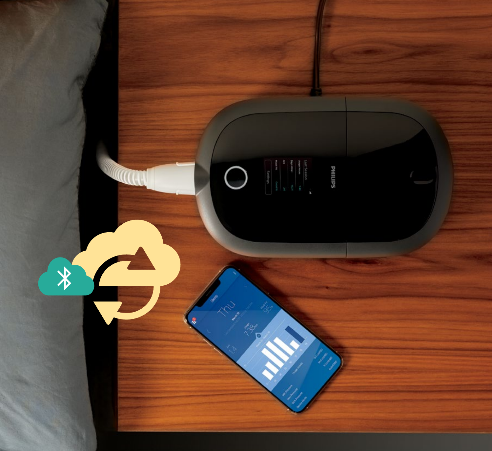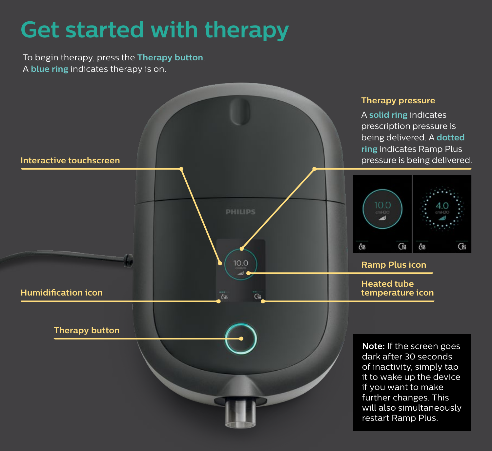## **Get started with therapy**

To begin therapy, press the **Therapy button**. A **blue ring** indicates therapy is on.

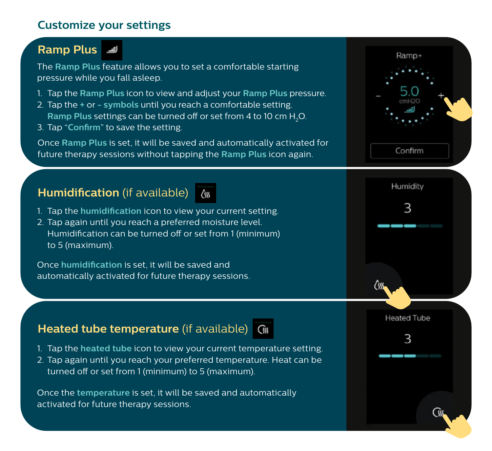### **Customize your settings**

### **Ramp Plus**

The **Ramp Plus** feature allows you to set a comfortable starting pressure while you fall asleep.

- 1. Tap the **Ramp Plus** icon to view and adjust your **Ramp Plus** pressure.
- 2. Tap the **+** or  **symbols** until you reach a comfortable setting. **Ramp Plus** settings can be turned off or set from 4 to 10 cm H2O.
- 3. Tap "**Confirm**" to save the setting.

Once **Ramp Plus** is set, it will be saved and automatically activated for future therapy sessions without tapping the **Ramp Plus** icon again.

ĈSS

## **Humidification** (if available)

- 1. Tap the **humidification** icon to view your current setting.
- 2. Tap again until you reach a preferred moisture level. Humidification can be turned off or set from 1 (minimum) to 5 (maximum).

Once **humidification** is set, it will be saved and automatically activated for future therapy sessions.

## **Heated tube temperature** (if available) G

- 1. Tap the **heated tube** icon to view your current temperature setting.
- 2. Tap again until you reach your preferred temperature. Heat can be turned off or set from 1 (minimum) to 5 (maximum).

Once the **temperature** is set, it will be saved and automatically activated for future therapy sessions.



Humidity

3

**Heated Tube** 3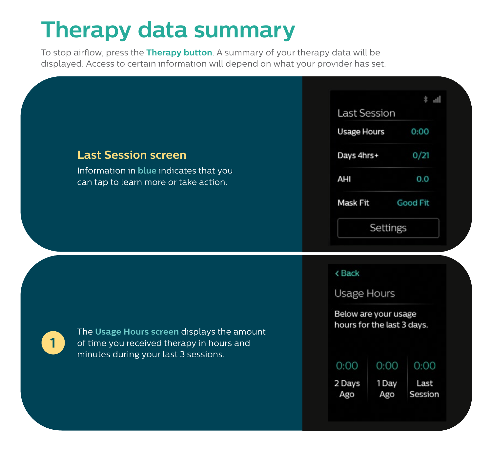## **Therapy data summary**

To stop airflow, press the **Therapy button**. A summary of your therapy data will be displayed. Access to certain information will depend on what your provider has set.

|                                                                                                                                 | $\frac{1}{2}$ all<br><b>Last Session</b>           |
|---------------------------------------------------------------------------------------------------------------------------------|----------------------------------------------------|
|                                                                                                                                 | <b>Usage Hours</b><br>0:00                         |
| <b>Last Session screen</b>                                                                                                      | Days 4hrs+<br>0/21                                 |
| Information in blue indicates that you<br>can tap to learn more or take action.                                                 | AHI<br>0.0                                         |
|                                                                                                                                 | Mask Fit<br><b>Good Fit</b>                        |
|                                                                                                                                 |                                                    |
|                                                                                                                                 | Settings                                           |
|                                                                                                                                 | < Back<br>Usage Hours                              |
| The Usage Hours screen displays the amount<br>of time you received therapy in hours and<br>minutes during your last 3 sessions. | Below are your usage<br>hours for the last 3 days. |
|                                                                                                                                 | 0:00<br>0.00<br>0:00                               |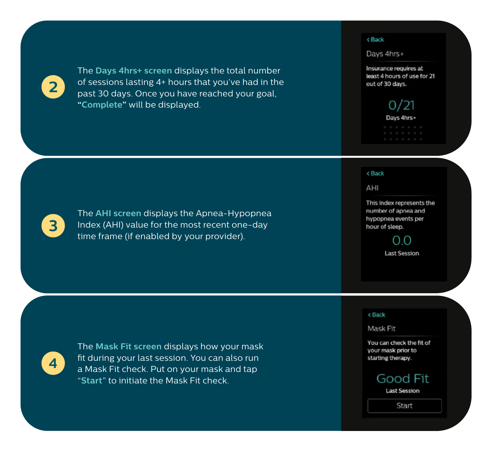$\overline{2}$ 

The Days 4hrs+ screen displays the total number of sessions lasting 4+ hours that you've had in the past 30 days. Once you have reached your goal, "Complete" will be displayed.

< Back

Days 4hrs+

Insurance requires at least 4 hours of use for 21 out of 30 days.

Days 4hrs+

#### < Back

 $\Delta H I$ 

This index represents the number of apnea and hypopnea events per hour of sleep.

> $O.O$ **Last Session**

< Back

Mask Fit

You can check the fit of your mask prior to starting therapy.

### Good Fit

**Last Session** 

Start

3

The AHI screen displays the Apnea-Hypopnea Index (AHI) value for the most recent one-day time frame (if enabled by your provider).

 $\vert$ 4

The Mask Fit screen displays how your mask fit during your last session. You can also run a Mask Fit check. Put on your mask and tap "Start" to initiate the Mask Fit check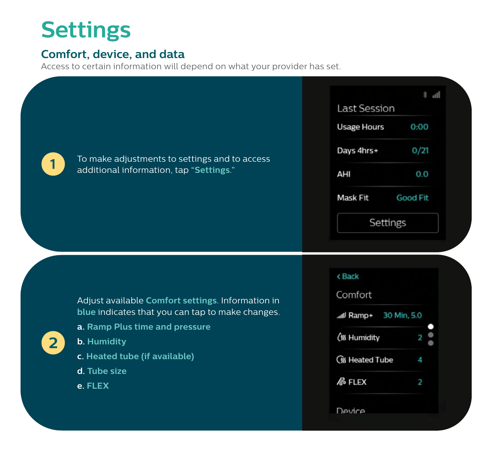## **Settings**

## **Comfort, device, and data**

Access to certain information will depend on what your provider has set.

|                                                                                                       | $\pm$ $\frac{1}{2}$<br><b>Last Session</b> |
|-------------------------------------------------------------------------------------------------------|--------------------------------------------|
| To make adjustments to settings and to access<br>additional information, tap "Settings."              | <b>Usage Hours</b><br>0.00                 |
|                                                                                                       | Days 4hrs+<br>0/21                         |
|                                                                                                       | AHI<br>0 <sub>0</sub>                      |
|                                                                                                       | <b>Mask Fit</b><br><b>Good Fit</b>         |
|                                                                                                       | Settings                                   |
|                                                                                                       |                                            |
|                                                                                                       |                                            |
|                                                                                                       | < Back                                     |
|                                                                                                       | Comfort                                    |
| Adjust available Comfort settings. Information in<br>blue indicates that you can tap to make changes. | ■ Ramp+<br>30 Min, 5.0                     |
| a. Ramp Plus time and pressure                                                                        | (W Humidity<br>2                           |
| <b>b.</b> Humidity<br>c. Heated tube (if available)                                                   | <b>Gy Heated Tube</b><br>4                 |
| d. Tube size<br>e. FLEX                                                                               | <b>命 FLEX</b><br>2                         |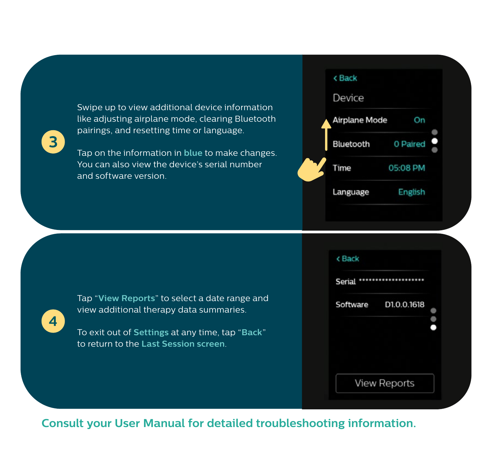$\overline{3}$ 

 $\overline{4}$ 

Swipe up to view additional device information like adjusting airplane mode, clearing Bluetooth pairings, and resetting time or language.

Tap on the information in **blue** to make changes. You can also view the device's serial number and software version.



Tap "**View Reports**" to select a date range and view additional therapy data summaries.

To exit out of **Settings** at any time, tap "**Back**" to return to the **Last Session screen**.



### **Consult your User Manual for detailed troubleshooting information.**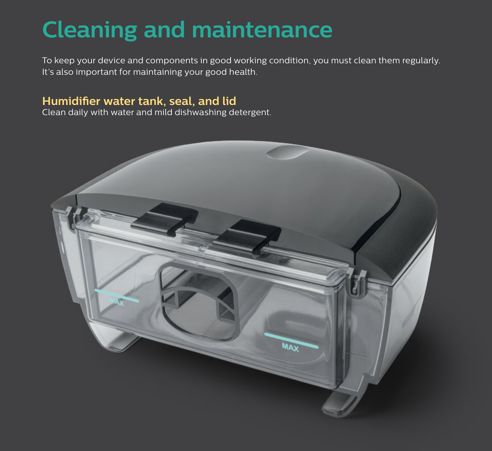## **Cleaning and maintenance**

To keep your device and components in good working condition, you must clean them regularly. It's also important for maintaining your good health.

### **Humidifier water tank, seal, and lid**

Clean daily with water and mild dishwashing detergent.

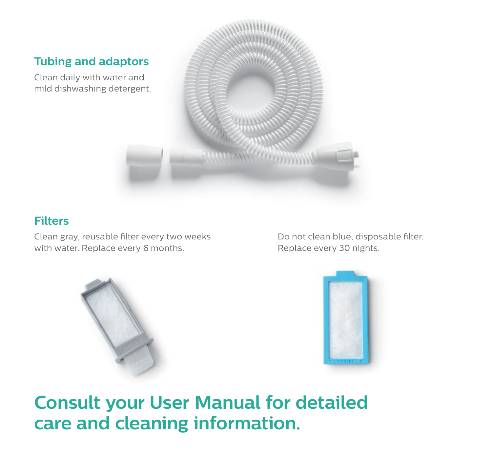## **Tubing and adaptors**

Clean daily with water and mild dishwashing detergent.



### **Filters**

Clean gray, reusable filter every two weeks with water. Replace every 6 months.

Do not clean blue, disposable filter. Replace every 30 nights.





**Consult your User Manual for detailed care and cleaning information.**